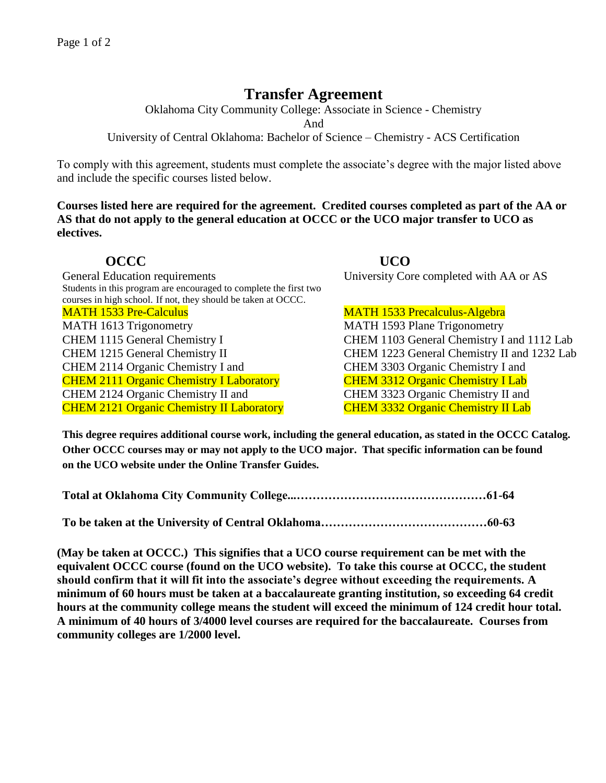## **Transfer Agreement**

Oklahoma City Community College: Associate in Science - Chemistry

And

University of Central Oklahoma: Bachelor of Science – Chemistry - ACS Certification

To comply with this agreement, students must complete the associate's degree with the major listed above and include the specific courses listed below.

**Courses listed here are required for the agreement. Credited courses completed as part of the AA or AS that do not apply to the general education at OCCC or the UCO major transfer to UCO as electives.**

General Education requirements University Core completed with AA or AS Students in this program are encouraged to complete the first two courses in high school. If not, they should be taken at OCCC. MATH 1533 Pre-Calculus MATH 1533 Precalculus-Algebra MATH 1613 Trigonometry MATH 1593 Plane Trigonometry CHEM 1115 General Chemistry I CHEM 1103 General Chemistry I and 1112 Lab CHEM 1215 General Chemistry II CHEM 1223 General Chemistry II and 1232 Lab CHEM 2114 Organic Chemistry I and CHEM 3303 Organic Chemistry I and CHEM 2111 Organic Chemistry I Laboratory CHEM 3312 Organic Chemistry I Lab CHEM 2124 Organic Chemistry II and CHEM 3323 Organic Chemistry II and CHEM 2121 Organic Chemistry II Laboratory CHEM 3332 Organic Chemistry II Lab

**OCCC UCO** 

**This degree requires additional course work, including the general education, as stated in the OCCC Catalog. Other OCCC courses may or may not apply to the UCO major. That specific information can be found on the UCO website under the Online Transfer Guides.** 

**To be taken at the University of Central Oklahoma……………………………………60-63**

**(May be taken at OCCC.) This signifies that a UCO course requirement can be met with the equivalent OCCC course (found on the UCO website). To take this course at OCCC, the student should confirm that it will fit into the associate's degree without exceeding the requirements. A minimum of 60 hours must be taken at a baccalaureate granting institution, so exceeding 64 credit hours at the community college means the student will exceed the minimum of 124 credit hour total. A minimum of 40 hours of 3/4000 level courses are required for the baccalaureate. Courses from community colleges are 1/2000 level.**